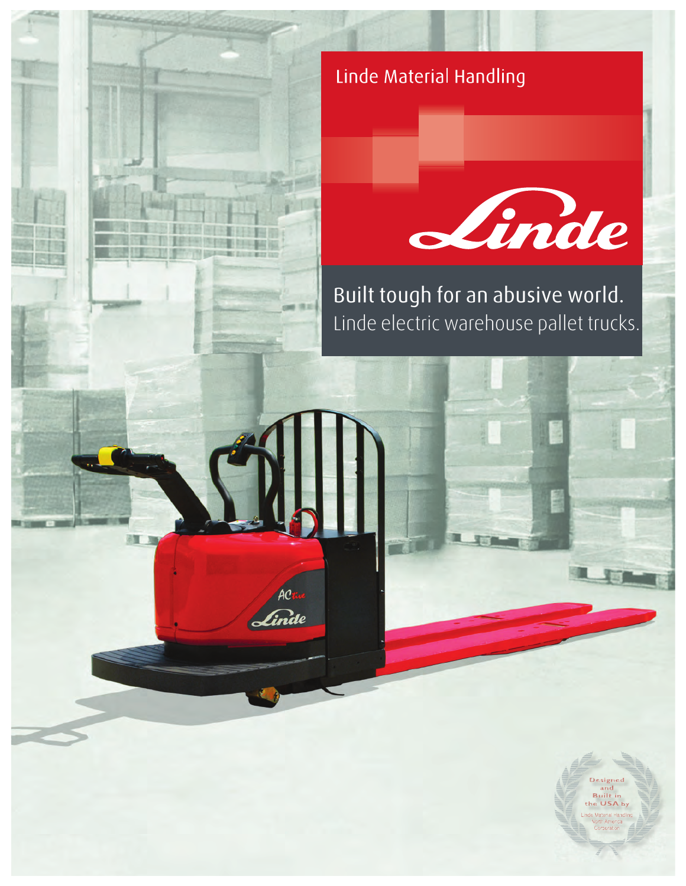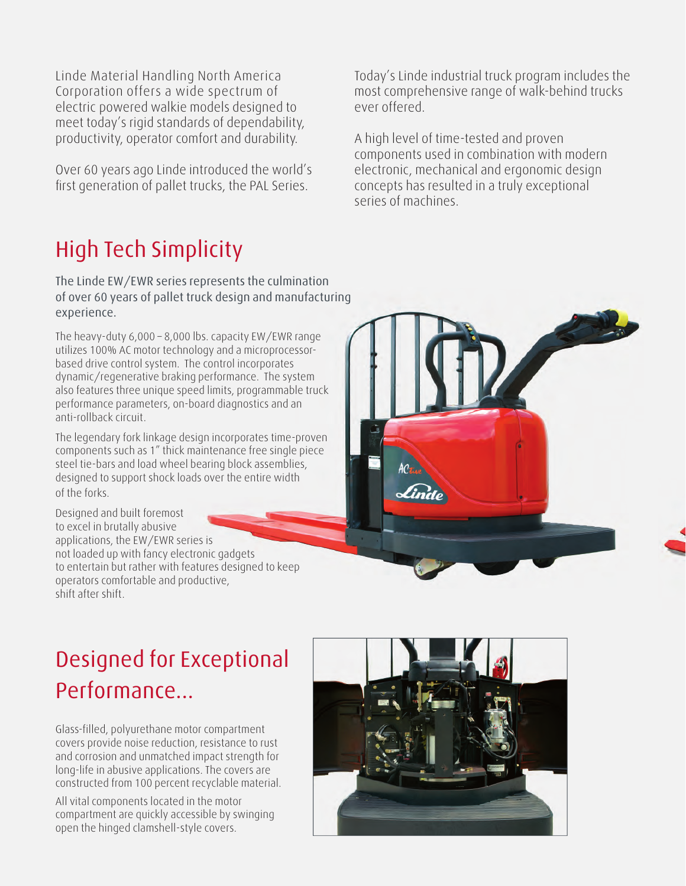Corporation offers a wide spectrum of electric powered walkie models designed to meet today's rigid standards of dependability, productivity, operator comfort and durability.

Over 60 years ago Linde introduced the world's first generation of pallet trucks, the PAL Series.

# High Tech Simplicity

The Linde EW/EWR series represents the culmination of over 60 years of pallet truck design and manufacturing experience.

The heavy-duty 6,000 – 8,000 lbs. capacity EW/EWR range utilizes 100% AC motor technology and a microprocessorbased drive control system. The control incorporates dynamic/regenerative braking performance. The system also features three unique speed limits, programmable truck performance parameters, on-board diagnostics and an anti-rollback circuit.

The legendary fork linkage design incorporates time-proven components such as 1" thick maintenance free single piece steel tie-bars and load wheel bearing block assemblies, designed to support shock loads over the entire width of the forks.

Designed and built foremost to excel in brutally abusive applications, the EW/EWR series is not loaded up with fancy electronic gadgets to entertain but rather with features designed to keep operators comfortable and productive, shift after shift.

Linde Material Handling North America **Today's Linde industrial truck program includes the** most comprehensive range of walk-behind trucks ever offered.

> A high level of time-tested and proven components used in combination with modern electronic, mechanical and ergonomic design concepts has resulted in a truly exceptional series of machines.



# Designed for Exceptional Performance...

Glass-filled, polyurethane motor compartment covers provide noise reduction, resistance to rust and corrosion and unmatched impact strength for long-life in abusive applications. The covers are constructed from 100 percent recyclable material.

All vital components located in the motor compartment are quickly accessible by swinging open the hinged clamshell-style covers.

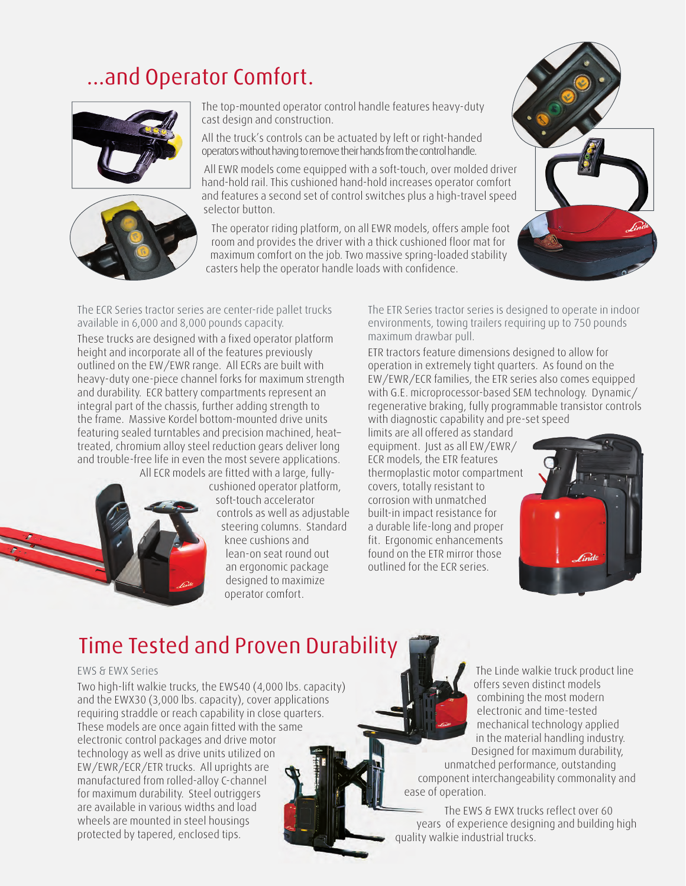# ...and Operator Comfort.





The top-mounted operator control handle features heavy-duty cast design and construction.

All the truck's controls can be actuated by left or right-handed operators without having to remove their hands from the control handle.

 All EWR models come equipped with a soft-touch, over molded driver hand-hold rail. This cushioned hand-hold increases operator comfort and features a second set of control switches plus a high-travel speed selector button.

The operator riding platform, on all EWR models, offers ample foot room and provides the driver with a thick cushioned floor mat for maximum comfort on the job. Two massive spring-loaded stability casters help the operator handle loads with confidence.



The ECR Series tractor series are center-ride pallet trucks available in 6,000 and 8,000 pounds capacity.

These trucks are designed with a fixed operator platform height and incorporate all of the features previously outlined on the EW/EWR range. All ECRs are built with heavy-duty one-piece channel forks for maximum strength and durability. ECR battery compartments represent an integral part of the chassis, further adding strength to the frame. Massive Kordel bottom-mounted drive units featuring sealed turntables and precision machined, heat– treated, chromium alloy steel reduction gears deliver long and trouble-free life in even the most severe applications. All ECR models are fitted with a large, fully-



cushioned operator platform, soft-touch accelerator controls as well as adjustable steering columns. Standard knee cushions and lean-on seat round out an ergonomic package designed to maximize operator comfort.

The ETR Series tractor series is designed to operate in indoor environments, towing trailers requiring up to 750 pounds maximum drawbar pull.

ETR tractors feature dimensions designed to allow for operation in extremely tight quarters. As found on the EW/EWR/ECR families, the ETR series also comes equipped with G.E. microprocessor-based SEM technology. Dynamic/ regenerative braking, fully programmable transistor controls with diagnostic capability and pre-set speed

limits are all offered as standard equipment. Just as all EW/EWR/ ECR models, the ETR features thermoplastic motor compartment covers, totally resistant to corrosion with unmatched built-in impact resistance for a durable life-long and proper fit. Ergonomic enhancements found on the ETR mirror those outlined for the ECR series.



## Time Tested and Proven Durability

#### EWS & EWX Series

Two high-lift walkie trucks, the EWS40 (4,000 lbs. capacity) and the EWX30 (3,000 lbs. capacity), cover applications requiring straddle or reach capability in close quarters. These models are once again fitted with the same electronic control packages and drive motor technology as well as drive units utilized on EW/EWR/ECR/ETR trucks. All uprights are manufactured from rolled-alloy C-channel for maximum durability. Steel outriggers are available in various widths and load wheels are mounted in steel housings protected by tapered, enclosed tips.

The Linde walkie truck product line offers seven distinct models combining the most modern electronic and time-tested mechanical technology applied in the material handling industry. Designed for maximum durability,

 unmatched performance, outstanding component interchangeability commonality and ease of operation.

 The EWS & EWX trucks reflect over 60 years of experience designing and building high quality walkie industrial trucks.